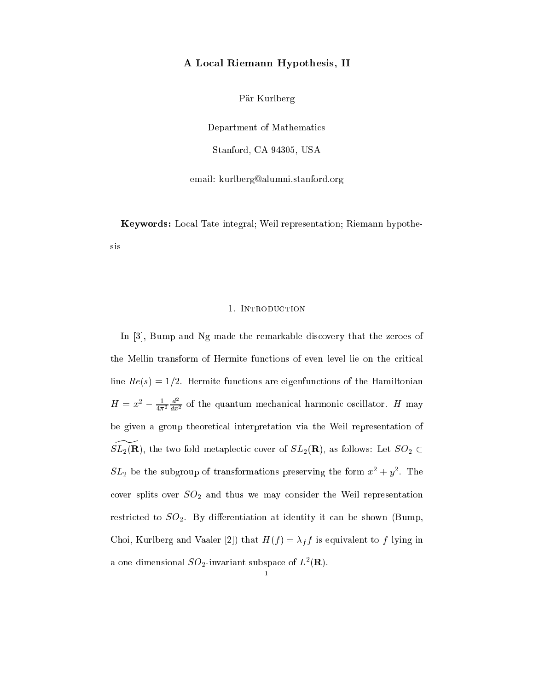# A Lo
al Riemann Hypothesis, II

Pär Kurlberg

Department of Mathemati
s Stanford, CA 94305, USA

email: kurlberg@alumni.stanford.org

Keywords: Lo
al Tate integral; Weil representation; Riemann hypothesis

#### 1. INTRODUCTION

In  $[3]$ , Bump and Ng made the remarkable discovery that the zeroes of the Mellin transform of Hermite functions of even level lie on the critical line  $Re(s) = 1/2$ . Hermite functions are eigenfunctions of the Hamiltonian  $H = x^- - \frac{1}{4\pi^2}$  $\frac{u}{dx^2}$  of the quantum mechanical harmonic oscillator. H may be given a group theoreti
al interpretation via the Weil representation of  $SL_2(\mathbf{R})$ , the two fold metaplectic cover of  $SL_2(\mathbf{R})$ , as follows: Let  $SO_2 \subset$  $SL_2$  be the subgroup of transformations preserving the form  $x^2 + y^2$ . The cover splits over  $SO_2$  and thus we may consider the Weil representation restricted to  $SO_2$ . By differentiation at identity it can be shown (Bump, Choi, Kurlberg and Vaaler [2]) that  $H(f) = \lambda_f f$  is equivalent to f lying in a one dimensional  $SO_2$ -invariant subspace of  $L^2(\mathbf{R})$ .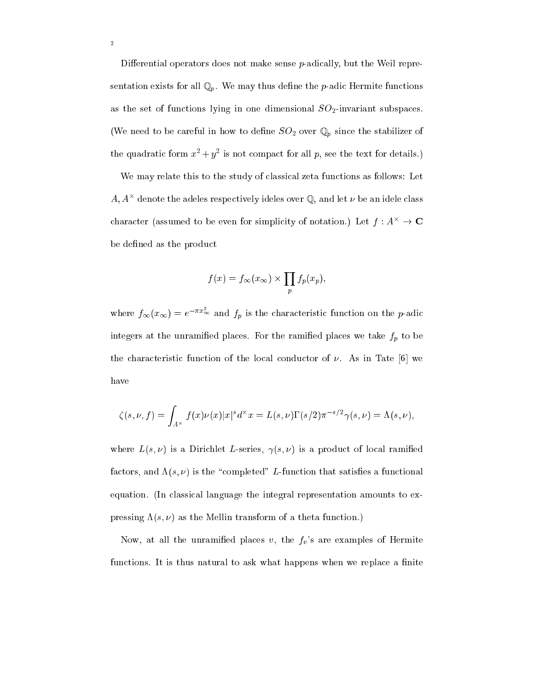Differential operators does not make sense  $p$ -adically, but the Weil representation exists for all  $\mathbb{Q}_p$ . We may thus define the *p*-adic Hermite functions as the set of functions lying in one dimensional  $SO_2$ -invariant subspaces. (We need to be careful in how to define  $SO_2$  over  $\mathbb{Q}_p$  since the stabilizer of the quadratic form  $x^2 + y^2$  is not compact for all p, see the text for details.)

We may relate this to the study of classical zeta functions as follows: Let  $A$ ,  $A^-$  denote the adeles respectively ideles over  $\psi$ , and let  $\nu$  be an idele class character (assumed to be even for simplicity of notation.) Let  $f: A^{\times} \to \mathbf{C}$ be defined as the product

$$
f(x) = f_{\infty}(x_{\infty}) \times \prod_{p} f_{p}(x_{p}),
$$

where  $f_{\infty}(x_{\infty}) = e^{-\pi x_{\infty}}$  and  $f_p$  is the characteristic function on the p-adic integers at the unramified places. For the ramified places we take  $f_p$  to be the characteristic function of the local conductor of  $\nu$ . As in Tate [6] we have

$$
\zeta(s,\nu,f) = \int_{A^{\times}} f(x)\nu(x)|x|^{s} d^{\times} x = L(s,\nu)\Gamma(s/2)\pi^{-s/2}\gamma(s,\nu) = \Lambda(s,\nu),
$$

where  $L(s, \nu)$  is a Dirichlet L-series,  $\gamma(s, \nu)$  is a product of local ramified factors, and  $\Lambda(s,\nu)$  is the "completed" L-function that satisfies a functional equation. (In lassi
al language the integral representation amounts to expressing  $\Lambda(s, \nu)$  as the Mellin transform of a theta function.)

Now, at all the unramified places  $v$ , the  $f_v$ 's are examples of Hermite functions. It is thus natural to ask what happens when we replace a finite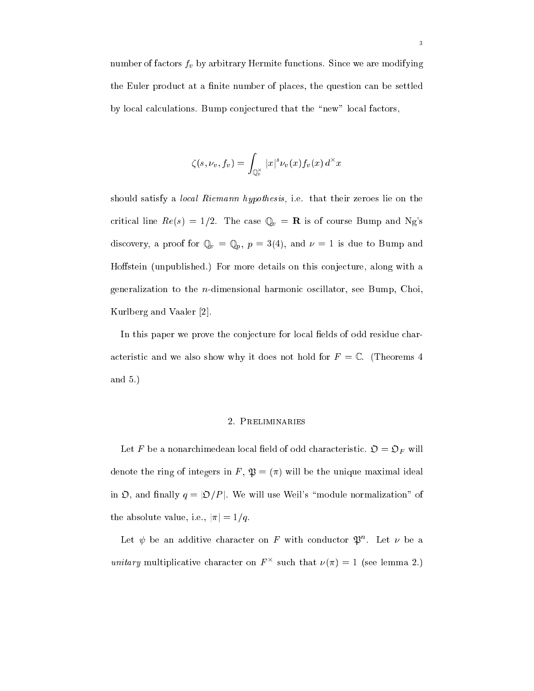number of factors  $f_v$  by arbitrary Hermite functions. Since we are modifying the Euler product at a finite number of places, the question can be settled by local calculations. Bump conjectured that the "new" local factors,

$$
\zeta(s,\nu_v,f_v)=\int_{\mathbb{Q}_v^\times}|x|^s\nu_v(x)f_v(x)\,d^\times x
$$

should satisfy a *local Riemann hypothesis*, i.e. that their zeroes lie on the critical line  $Re(s) = 1/2$ . The case  $\mathbb{Q}_v = \mathbf{R}$  is of course Bump and Ng's discovery, a proof for  $\mathbb{Q}_v = \mathbb{Q}_p$ ,  $p = 3(4)$ , and  $\nu = 1$  is due to Bump and Hoffstein (unpublished.) For more details on this conjecture, along with a generalization to the n-dimensional harmoni os
illator, see Bump, Choi, Kurlberg and Vaaler [2].

In this paper we prove the conjecture for local fields of odd residue characteristic and we also show why it does not hold for  $F = \mathbb{C}$ . (Theorems 4 and 5.)

#### 2. Preliminaries

Let F be a nonarchimedean local field of odd characteristic.  $\mathfrak{O} = \mathfrak{O}_F$  will denote the ring of integers in F,  $\mathfrak{P} = (\pi)$  will be the unique maximal ideal in  $\mathfrak{O}$ , and finally  $q = |\mathfrak{O}/P|$ . We will use Weil's "module normalization" of the absolute value, i.e.,  $|\pi| = 1/q$ .

Let  $\psi$  be an additive character on  $F$  with conductor  $\varphi$  . Let  $\nu$  be a unitary multiplicative character on  $F$  - such that  $\nu(\pi) = 1$  (see lemma 2.)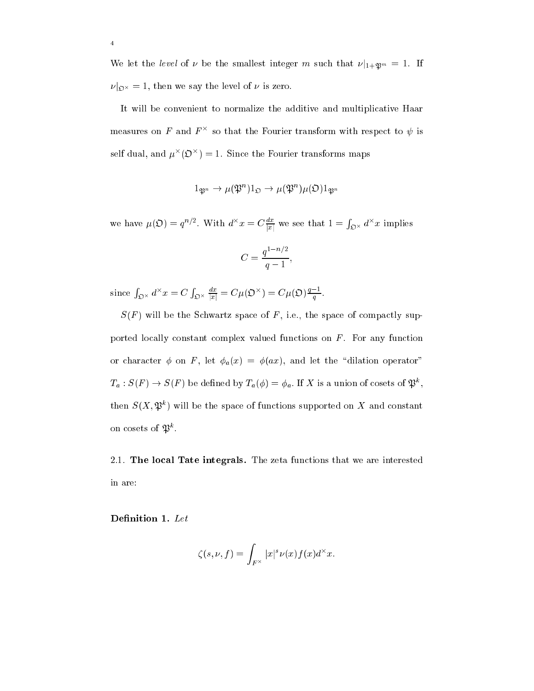We let the *level* of  $\nu$  be the smallest integer m such that  $\nu|_{1+\mathfrak{P}^m} = 1$ . If  $\mathcal{L}$  ) then we say the level of  $\mathcal{L}$  and  $\mathcal{L}$ 

It will be convenient to normalize the additive and multiplicative Haar measures on  $F$  and  $F$  - so that the Fourier transform with respect to  $\psi$  is self dual, and  $\mu^-(\mathcal{D}^-) = 1$ . Since the Fourier transforms maps

$$
1_{\mathfrak{P}^n} \to \mu(\mathfrak{P}^n)1_{\mathfrak{O}} \to \mu(\mathfrak{P}^n)\mu(\mathfrak{O})1_{\mathfrak{P}^n}
$$

we have  $\mu(\mathcal{D}) = q^{-\gamma}$ . With  $a^{-}x = C \frac{1}{|x|}$  we see that  $1 =$ <sup>R</sup>  $\mathfrak{g} \times a^{\dagger} x$  implies

$$
C = \frac{q^{1-n/2}}{q-1},
$$

since  $\int_{\mathfrak{D}^\times} d^\times x = C$  $\sum_{\mathcal{D}^{\times}} \frac{d\mathcal{D}}{|\mathcal{D}|} = C \mu(\mathcal{D}^{\times}) = C \mu(\mathcal{D}) \frac{1}{q}$ q,

 $S(F)$  will be the Schwartz space of F, i.e., the space of compactly supported locally constant complex valued functions on  $F$ . For any function or character  $\phi$  on F, let  $\phi_a(x) = \phi(ax)$ , and let the "dilation operator"  $T_a: S(F) \to S(F)$  be defined by  $T_a(\varphi) = \varphi_a$ . If A is a union of cosets of  $\varphi^*,$ then  $S(X, \mathcal{P})$  will be the space of functions supported on  $X$  and constant on cosets of  $\mathfrak{P}$ .

2.1. The local Tate integrals. The zeta functions that we are interested in are:

Denition 1. Let

<sup>4</sup>

$$
\zeta(s,\nu,f)=\int_{F^\times}|x|^s\nu(x)f(x)d^\times x.
$$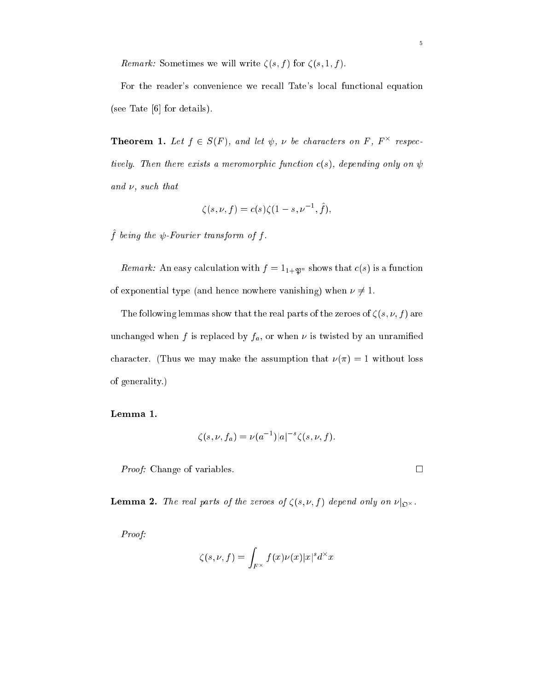Remark: Sometimes we will write  $\zeta(s, f)$  for  $\zeta(s, 1, f)$ .

For the reader's onvenien
e we re
all Tate's lo
al fun
tional equation (see Tate  $[6]$  for details).

**Theorem 1.** Let  $f \in S(F)$ , and let  $\psi$ ,  $\nu$  be characters on  $F$ ,  $F$  respectively tively. Then there exists a meromorphic function  $c(s)$ , depending only on  $\psi$ and  $\nu$ , such that

$$
\zeta(s,\nu,f) = c(s)\zeta(1-s,\nu^{-1},\hat{f}),
$$

 $f$  being the  $\psi$ -Fourier transform of f.

Remark: An easy calculation with  $f = 1_{1+\mathfrak{P}^n}$  shows that  $c(s)$  is a function of exponential type (and hence nowhere vanishing) when  $\nu \neq 1$ .

The following lemmas show that the real parts of the zeroes of  $\zeta(s, \nu, f)$  are unchanged when f is replaced by  $f_a$ , or when  $\nu$  is twisted by an unramified character. (Thus we may make the assumption that  $\nu(\pi) = 1$  without loss of generality.)

$$
\zeta(s,\nu,f_a)=\nu(a^{-1})|a|^{-s}\zeta(s,\nu,f).
$$

*Proof:* Change of variables. □

Lemma 2. The real parts of the zeroes of (s; ; f ) depend only on jO-.

Proof:

$$
\zeta(s,\nu,f)=\int_{F^\times}f(x)\nu(x)|x|^sd^\times x
$$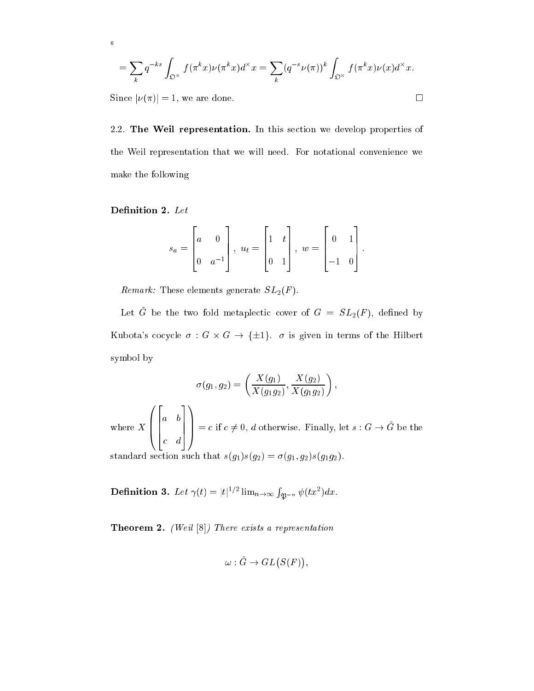$$
= \sum_{k} q^{-ks} \int_{\mathfrak{O}^{\times}} f(\pi^{k} x) \nu(\pi^{k} x) d^{\times} x = \sum_{k} (q^{-s} \nu(\pi))^{k} \int_{\mathfrak{O}^{\times}} f(\pi^{k} x) \nu(x) d^{\times} x.
$$

Since  $|\nu(\pi)| = 1$ , we are done.

<sup>6</sup>

2.2. The Weil representation. In this section we develop properties of the Weil representation that we will need. For notational onvenien
e we make the following

$$
s_a = \begin{bmatrix} a & 0 \\ 0 & a^{-1} \end{bmatrix}, u_t = \begin{bmatrix} 1 & t \\ 0 & 1 \end{bmatrix}, w = \begin{bmatrix} 0 & 1 \\ -1 & 0 \end{bmatrix}.
$$

Remark: These elements generate  $SL_2(F)$ .

Let  $\tilde{G}$  be the two fold metaplectic cover of  $G = SL_2(F)$ , defined by Kubota's cocycle  $\sigma: G \times G \to {\{\pm 1\}}$ .  $\sigma$  is given in terms of the Hilbert symbol by

$$
\sigma(g_1, g_2) = \left(\frac{X(g_1)}{X(g_1g_2)}, \frac{X(g_2)}{X(g_1g_2)}\right),\,
$$

 $\overline{\phantom{a}}$  $\overline{\phantom{a}}$ <u>22 million provide a control de la partida de la partida de la partida de la partida de la partida de la partida de la partida de la partida de la partida de la partida de la partida de la partida de la partida de la part</u>  $\vert$ <u>33 Juni 1914 Juni 1915 Juni 1915 Juni 1915 Juni 1915 Juni 1915 Juni 1915 Juni 1915 Juni 1915 Juni 1915 Juni 1</u>  $\vert$  $\sim$  $c \neq 0, d$  otherwise. Finally, let  $s : G \to \tilde{G}$  be the standard section such that  $s(g_1)s(g_2) = \sigma(g_1, g_2)s(g_1g_2)$ .

**Definition 3.** Let  $\gamma(t) = |t|^{1/2} \lim_{n \to \infty} \int_{\mathfrak{P}^{-n}} \psi(tx^2) dx$ .

Theorem 2. (Weil [8℄) There exists a representation

$$
\omega: \tilde{G} \to GL(S(F)),
$$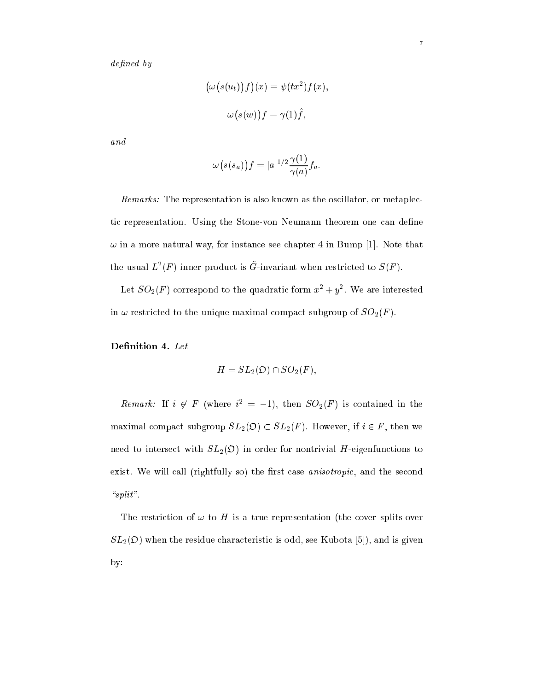$defined\ by$ 

$$
\left(\omega(s(u_t))f\right)(x) = \psi(tx^2)f(x),
$$

$$
\omega(s(w))f = \gamma(1)\hat{f},
$$

and

$$
\omega(s(s_a))f=|a|^{1/2}\frac{\gamma(1)}{\gamma(a)}f_a.
$$

Remarks: The representation is also known as the oscillator, or metaplectic representation. Using the Stone-von Neumann theorem one can define  $\omega$  in a more natural way, for instance see chapter 4 in Bump [1]. Note that the usual  $L(T)$  inner product is G-invariant when restricted to  $S(T)$ .

Let  $SO_2(F)$  correspond to the quadratic form  $x^2 + y^2$  . We are interested in  $\omega$  restricted to the unique maximal compact subgroup of  $SO_2(F)$ .

$$
H = SL_2(\mathfrak{O}) \cap SO_2(F),
$$

Remark: It  $i \notin F$  (where  $i^- = -1$ ), then  $SO_2(F)$  is contained in the maximal compact subgroup  $SL_2(\mathfrak{O}) \subset SL_2(F)$ . However, if  $i \in F$ , then we need to intersect with  $SL_2(\mathfrak{O})$  in order for nontrivial H-eigenfunctions to exist. We will call (rightfully so) the first case *anisotropic*, and the second " $split"$ .

The restriction of  $\omega$  to H is a true representation (the cover splits over  $SL_2(\mathfrak{O})$  when the residue characteristic is odd, see Kubota [5]), and is given by: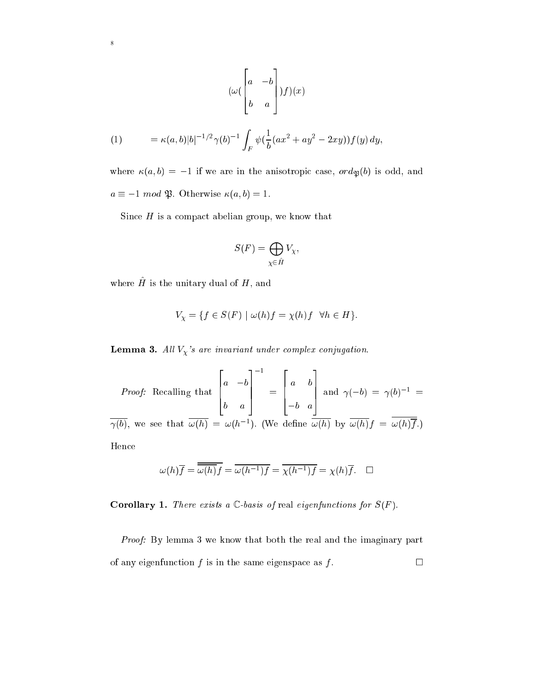$$
(\omega \begin{pmatrix} a & -b \\ b & a \end{pmatrix}) f)(x)
$$

(1) 
$$
= \kappa(a,b)|b|^{-1/2}\gamma(b)^{-1}\int_F \psi(\frac{1}{b}(ax^2+ay^2-2xy))f(y) dy,
$$

where  $\kappa(a, b) = -1$  if we are in the anisotropic case,  $\partial d\phi$  is odd, and  $a \equiv -1 \mod 3$ . Otherwise  $\kappa(a, b) = 1$ .

Since  $H$  is a compact abelian group, we know that

$$
S(F) = \bigoplus_{\chi \in \hat{H}} V_{\chi},
$$

where  $H$  is the unitary dual of  $H$ , and

<sup>8</sup>

$$
V_{\chi} = \{ f \in S(F) \mid \omega(h)f = \chi(h)f \quad \forall h \in H \}.
$$

**Lemma 3.** All  $V_{\chi}$ 's are invariant under complex conjugation.

*Proof:* Recalling that 
$$
\begin{bmatrix} a & -b \\ b & a \end{bmatrix}^{-1} = \begin{bmatrix} a & b \\ -b & a \end{bmatrix}
$$
 and  $\gamma(-b) = \gamma(b)^{-1} = \overline{\gamma(b)}$ , we see that  $\overline{\omega(h)} = \omega(h^{-1})$ . (We define  $\overline{\omega(h)}$  by  $\overline{\omega(h)}f = \overline{\omega(h)}\overline{f}$ .)  
Hence

$$
\omega(h)\overline{f} = \overline{\omega(h)}f = \overline{\omega(h^{-1})f} = \overline{\chi(h^{-1})f} = \chi(h)\overline{f}.\quad \Box
$$

Corollary 1. There exists a <sup>C</sup> -basis of real eigenfun
tions for S(F ).

Proof: By lemma 3 we know that both the real and the imaginary part of any eigenfunction  $f$  is in the same eigenspace as  $f$ .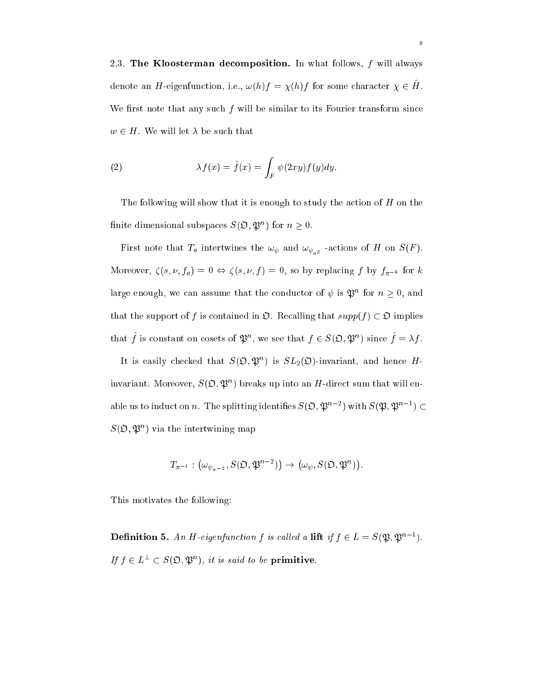2.3. The Kloosterman de
omposition. In what follows, f will always denote an  $H$ -eigenfunction, i.e.,  $\omega(n) = \chi(n)$  for some character  $\chi \in H$ . We first note that any such  $f$  will be similar to its Fourier transform since  $w \in H$ . We will let  $\lambda$  be such that

(2) 
$$
\lambda f(x) = \hat{f}(x) = \int_F \psi(2xy) f(y) dy.
$$

The following will show that it is enough to study the action of  $H$  on the nifice dimensional subspaces  $S(\mathcal{D}, \mathcal{D})$  for  $n > 0$ .

 $\mathfrak{p}$  intertwines the  $\mathfrak{p}_a$  intertwines the the state  $\mathfrak{p}$ . Moreover,  $\zeta(s, \nu, f_a) = 0 \Leftrightarrow \zeta(s, \nu, f) = 0$ , so by replacing f by  $f_{\pi^{-k}}$  for k large enough, we can assume that the conductor of  $\psi$  is  $\psi^-$  for  $n > 0$ , and that the support of f is contained in  $\mathfrak{O}$ . Recalling that  $supp(f) \subset \mathfrak{O}$  implies that f is constant on cosets of  $\mathcal{P}$ , we see that  $f \in \mathcal{S}(\mathcal{D}, \mathcal{P})$  is since  $f = \lambda f$ .

It is easily checked that  $S(\mathcal{D}, \mathcal{D})$  is  $SL_2(\mathcal{D})$ -invariant, and hence  $H$ - $\max$  invariant. Moreover,  $S(\mathcal{D}, \mathcal{D})$  is preaks up into an  $H$ -direct sum that will enable us to induct on n. The splitting identifies  $S(\mathcal{Y}, \mathcal{Y}) = \int \text{with } S(\mathcal{Y}, \mathcal{Y}) = \int$  $\mathcal{S}(\mathcal{D}, \mathcal{P})$  ) via the intertwining map

$$
T_{\pi^{-1}}:\left(\omega_{\psi_{\pi^{-2}}},S(\mathfrak{O},\mathfrak{P}^{n-2})\right)\to \left(\omega_{\psi},S(\mathfrak{O},\mathfrak{P}^n)\right).
$$

This motivates the following:

**Definition 5.** An H-eigenfunction f is called a lift if  $\eta \in L = S(\mathfrak{P}, \mathfrak{P})$ . If  $I \in L^- \subset S(\mathcal{D}, \mathcal{D})$ , it is said to be primitive.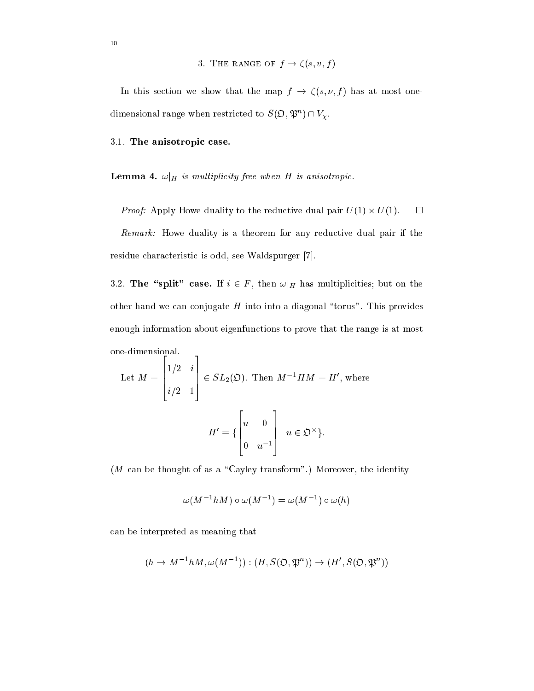3. THE RANGE OF  $f \rightarrow \zeta(s, v, f)$ 

In this section we show that the map  $f \to \zeta(s, \nu, f)$  has at most onedimensional range when restricted to  $S(\mathcal{D}, \mathcal{P}^*) \cap V_{\mathcal{V}}.$ 

### 3.1. The anisotropic case.

Lemma 4. !jH is multipli
ity free when <sup>H</sup> is anisotropi
.

Proof: Apply Howe duality to the redu
tive dual pair U(1) - U(1).

Remark: Howe duality is a theorem for any reductive dual pair if the residue characteristic is odd, see Waldspurger [7].

3.2. The "split" case. If  $i \in F$ , then  $\omega|_H$  has multiplicities; but on the other hand we can conjugate  $H$  into into a diagonal "torus". This provides enough information about eigenfun
tions to prove that the range is at most one-dimensional. <sup>2</sup>

Let 
$$
M = \begin{bmatrix} 1/2 & i \\ i/2 & 1 \end{bmatrix} \in SL_2(\mathfrak{O}).
$$
 Then  $M^{-1}HM = H'$ , where  

$$
H' = \left\{ \begin{bmatrix} u & 0 \\ 0 & u^{-1} \end{bmatrix} \middle| u \in \mathfrak{O}^{\times} \right\}.
$$

 $(M \text{ can be thought of as a "Cayley transform".})$  Moreover, the identity

$$
\omega(M^{-1}hM)\circ\omega(M^{-1})=\omega(M^{-1})\circ\omega(h)
$$

an be interpreted as meaning that

<u>33 Juni 1914 Juni 1915 Juni 1915 Juni 1915 Juni 1915 Juni 1915 Juni 1915 Juni 1915 Juni 1915 Juni 1915 Juni 1</u>

$$
(h \to M^{-1}hM, \omega(M^{-1})): (H, S(\mathfrak{O}, \mathfrak{P}^n)) \to (H', S(\mathfrak{O}, \mathfrak{P}^n))
$$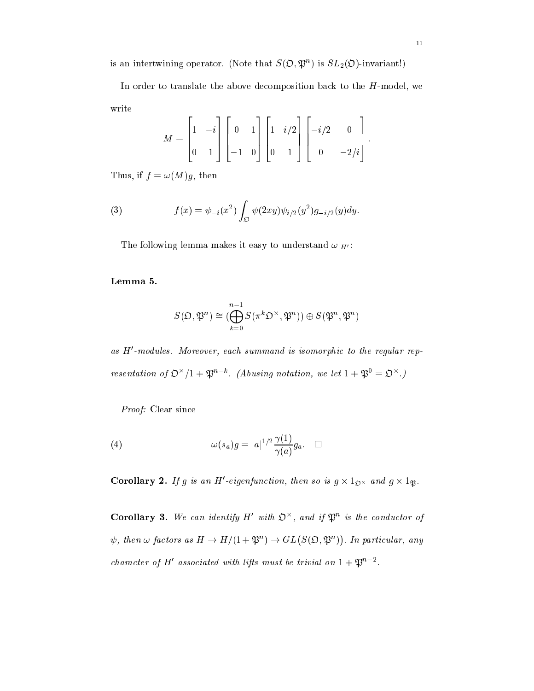is an intertwining operator. (Note that  $S(\mathcal{D}, \mathcal{D})$  is  $SL_2(\mathcal{D})$ -invariant!)

In order to translate the above decomposition back to the  $H$ -model, we write

$$
M = \begin{bmatrix} 1 & -i \\ 0 & 1 \end{bmatrix} \begin{bmatrix} 0 & 1 \\ -1 & 0 \end{bmatrix} \begin{bmatrix} 1 & i/2 \\ 0 & 1 \end{bmatrix} \begin{bmatrix} -i/2 & 0 \\ 0 & -2/i \end{bmatrix}.
$$

Thus, if  $f = \omega(M)g$ , then

(3) 
$$
f(x) = \psi_{-i}(x^2) \int_{\mathfrak{O}} \psi(2xy) \psi_{i/2}(y^2) g_{-i/2}(y) dy.
$$

The following lemma makes it easy to understand  $\omega|_{H'}$ :

Lemma 5.

$$
S(\mathfrak{O},\mathfrak{P}^n)\cong (\bigoplus_{k=0}^{n-1}S(\pi^k\mathfrak{O}^\times,\mathfrak{P}^n))\oplus S(\mathfrak{P}^n,\mathfrak{P}^n)
$$

as  $\bm{\pi}$  -modules. Moreover, each summand is isomorphic to the requiar representation of  $\Sigma$  /1 +  $\mathfrak{P}$  . (Abusing notation, we let  $1 + \mathfrak{P} = \mathfrak{D}$ )

Proof: Clear since

(4) 
$$
\omega(s_a)g = |a|^{1/2} \frac{\gamma(1)}{\gamma(a)} g_a. \quad \Box
$$

Corollary 2. If g is an H-eigenfunction, then so is  $g \times 1_{\Omega} \times$  and  $g \times 1_{\mathfrak{B}}$ .

Corollary 3. We can identify  $H$  with  $\mathcal{D}$ , and if  $\mathcal{D}$  is the conductor of  $\psi$ , then  $\omega$  factors as  $H \to H/(1 + \mathfrak{P}^n) \to GL(S(\mathfrak{O}, \mathfrak{P}^n))$  $\sim$ : In parti
ular, any character of  $\pi$  associated with tips must be trivial on  $1 + 2p$ .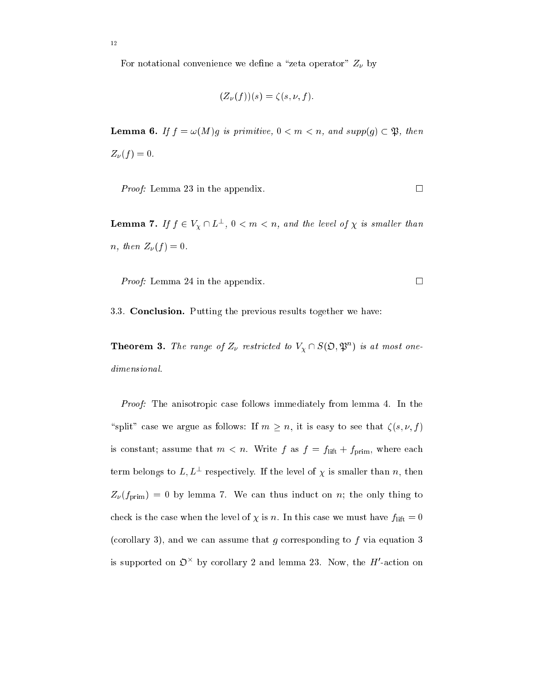For notational convenience we define a "zeta operator"  $Z_{\nu}$  by

$$
(Z_{\nu}(f))(s) = \zeta(s, \nu, f).
$$

 $-$  -------  $\blacksquare$  $Z_{\nu}(f) = 0.$ 

*Proof:* Lemma 23 in the appendix.  $\Box$ 

**Lemma 1.** If  $f \in V_{\chi} \cup L^{-1}$ ,  $0 \leq m \leq n$ , and the level of  $\chi$  is smaller than n, then  $Z_{\nu}(f) = 0$ .

*Proof:* Lemma 24 in the appendix.  $\Box$ 

3.3. Con
lusion. Putting the previous results together we have:

**Theorem 3.** The range of  $Z_V$  restricted to  $V_Y \cap S(\mathcal{Q}, \mathcal{P})$  is at most onedimensional.

Proof: The anisotropic case follows immediately from lemma 4. In the "split" case we argue as follows: If  $m \ge n$ , it is easy to see that  $\zeta(s, \nu, f)$ is constant; assume that  $m < n$ . Write f as  $f = f_{\text{lift}} + f_{\text{prim}}$ , where each term belongs to  $L, L^-$  respectively. If the level of  $\chi$  is smaller than  $n$ , then  $Z_{\nu}(f_{\rm prim}) = 0$  by lemma 7. We can thus induct on n; the only thing to check is the case when the level of  $\chi$  is n. In this case we must have  $f_{\text{lift}} = 0$ (corollary 3), and we can assume that  $g$  corresponding to  $f$  via equation 3 is supported on  $\mathcal D$  - by corollary 2 and lemma 25. Now, the  $H$  -action on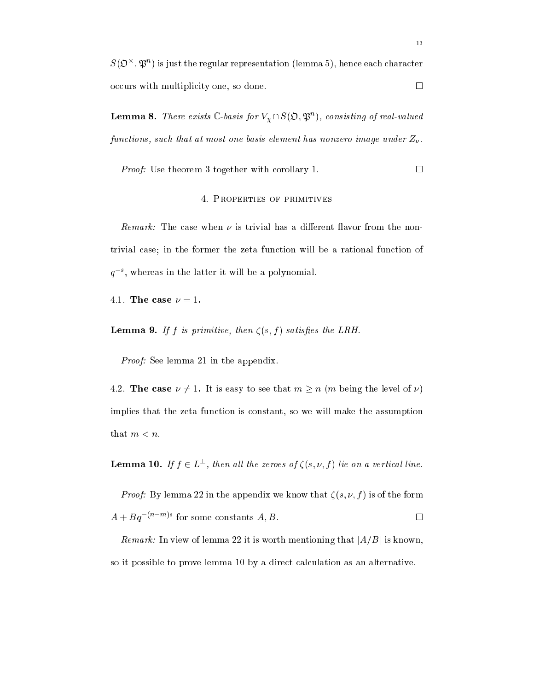$S(\mathcal{D}^+,\mathcal{D}^-)$  is just the regular representation (lemma 5), hence each character  $occurs$  with multiplicity one, so done.  $\square$ 

**Lemma 8.** There exists  $\cup$ -basis for  $V_{\gamma} \cap S(\mathcal{D}, \mathcal{D})$ , consisting by real-valued functions, such that at most one basis element has nonzero image under  $Z_{\nu}$ .

*Proof:* Use theorem 3 together with corollary 1.

#### 4. Properties of primitives

*Remark:* The case when  $\nu$  is trivial has a different flavor from the nontrivial case; in the former the zeta function will be a rational function of  $q$  , whereas in the latter it will be a polynomial.

4.1. The case  $\nu = 1$ .

Lemma 9. If f is primitive, then (s; f ) satises the LRH.

Proof: See lemma 21 in the appendix.

4.2. The case  $\nu \neq 1$ . It is easy to see that  $m \geq n$  (m being the level of  $\nu$ ) implies that the zeta fun
tion is onstant, so we will make the assumption that  $m < n$ .

**Lemma 10.** If  $f \in L$ , then all the zeroes of  $g(x, \nu, f)$  we on a vertical time.

*Proof:* By lemma 22 in the appendix we know that  $\zeta(s, \nu, f)$  is of the form  $A + Bq$ <sup>nm</sup> for some constants  $A, B$ .

Remark: In view of lemma 22 it is worth mentioning that  $|A/B|$  is known, so it possible to prove lemma 10 by a direct calculation as an alternative.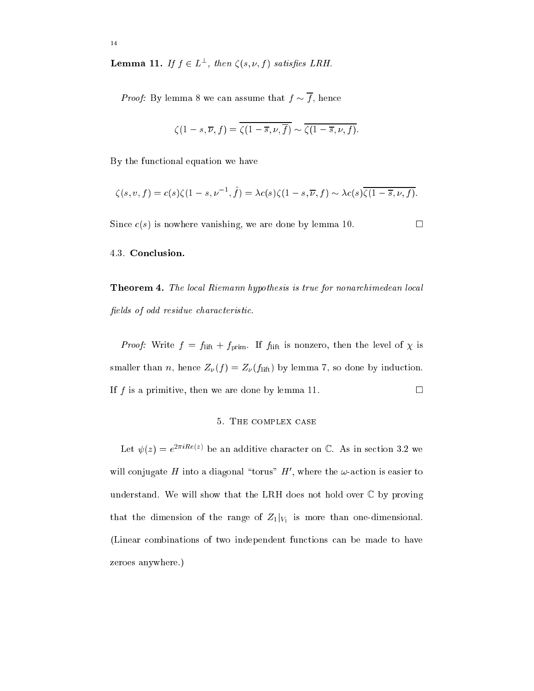**Lemma 11.** If  $f \in L$ , then  $\zeta(s, \nu, f)$  satisfies LRH.

*Proof:* By lemma 8 we can assume that  $f \sim \overline{f}$ , hence

$$
\zeta(1-s,\overline{\nu},f)=\overline{\zeta(1-\overline{s},\nu,\overline{f})}\sim\overline{\zeta(1-\overline{s},\nu,f)}.
$$

By the fun
tional equation we have

$$
\zeta(s,v,f) = c(s)\zeta(1-s,v^{-1},\hat{f}) = \lambda c(s)\zeta(1-s,\overline{\nu},f) \sim \lambda c(s)\overline{\zeta(1-\overline{s},\nu,f)}.
$$

Since  $c(s)$  is nowhere vanishing, we are done by lemma 10.

#### 4.3. Con
lusion.

Theorem 4. The lo
al Riemann hypothesis is true for nonar
himedean lo
al fields of odd residue characteristic.

*Proof:* Write  $f = f_{\text{lift}} + f_{\text{prim}}$ . If  $f_{\text{lift}}$  is nonzero, then the level of  $\chi$  is smaller than *n*, hence  $Z_{\nu}(f) = Z_{\nu}(f)$  by lemma 7, so done by induction. If f is a primitive, then we are done by lemma 11.  $\Box$ 

#### 5. THE COMPLEX CASE

Let  $\psi(z) = e^{-\frac{z}{2}}$  be an additive character on  $\zeta$ . As in section 3.2 we while conjugate  $H$  into a diagonal "torus"  $H$ , where the  $\omega$ -action is easier to understand. We will show that the LRH does not hold over  $\mathbb C$  by proving is that the dimension of the range of  $\mathbb{Z}^1$  is more than one-dimensional. (Linear ombinations of two independent fun
tions an be made to have zeroes anywhere.)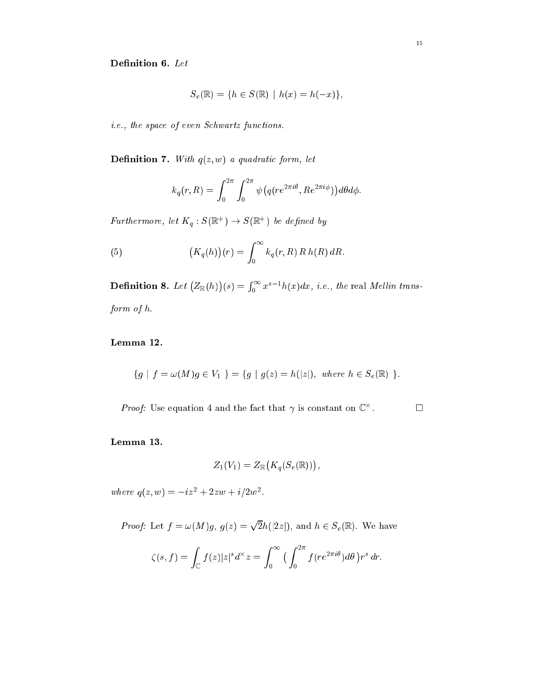$$
S_e(\mathbb{R}) = \{ h \in S(\mathbb{R}) \mid h(x) = h(-x) \},
$$

i.e., the space of even Schwartz functions.

 $\mathcal{D}$  and  $\mathcal{D}$  are the quadratic form, let  $\mathcal{D}$  and  $\mathcal{D}$  are the contribution of  $\mathcal{D}$ 

$$
k_q(r,R) = \int_0^{2\pi} \int_0^{2\pi} \psi(q(re^{2\pi i\theta}, Re^{2\pi i\phi})) d\theta d\phi.
$$

**Furthermore, let**  $\Lambda_q : \mathcal{S}(\mathbb{R}^+) \to \mathcal{S}(\mathbb{R}^+)$  **be defined by** 

(5) 
$$
(K_q(h))(r) = \int_0^\infty k_q(r, R) R h(R) dR.
$$

**Definition 8.** Let  $(Z_{\mathbb{R}}(h))$ . .  $\mathbf{S}$  =  $\mathbf{S}$  =  $\mathbf{S}$  =  $\mathbf{S}$  =  $\mathbf{S}$  =  $\mathbf{S}$  =  $\mathbf{S}$  =  $\mathbf{S}$  =  $\mathbf{S}$  =  $\mathbf{S}$  =  $\mathbf{S}$  =  $\mathbf{S}$  =  $\mathbf{S}$  =  $\mathbf{S}$  =  $\mathbf{S}$  =  $\mathbf{S}$  =  $\mathbf{S}$  =  $\mathbf{S}$  =  $\mathbf{S}$  =  $\mathbf{S}$  =  $\int_0^\infty x^{s-1}h(x)dx$ , i.e., the real Mellin transform of h.

Lemma 12.

$$
\{g \mid f = \omega(M)g \in V_1 \} = \{g \mid g(z) = h(|z|), \text{ where } h \in S_e(\mathbb{R}) \}.
$$

*Proof:* Use equation 4 and the fact that  $\gamma$  is constant on  $\cup$  $\Box$ 

$$
Z_1(V_1)=Z_{\mathbb R}\big(K_q(S_e({\mathbb R}))\big)\,,
$$

where  $q(z, w) = -iz - 1z^2 + 2zw + i/2w^2$ .

 $P = \{x_1, x_2, ..., x_n\}$  . The set of  $\{x_1, x_2, ..., x_n\}$ p 2h(j2zj), and <sup>h</sup> <sup>2</sup> Se(R). We have  $Z$   $Z$  $\cdot$   $\cdot$  $\overline{\phantom{a}}$ 

$$
\zeta(s,f)=\int_{\mathbb{C}}f(z)|z|^{s}d^{\times}z=\int_{0}^{\infty}\big(\int_{0}^{2\pi}f(re^{2\pi i\theta})d\theta\big)r^{s}\,dr.
$$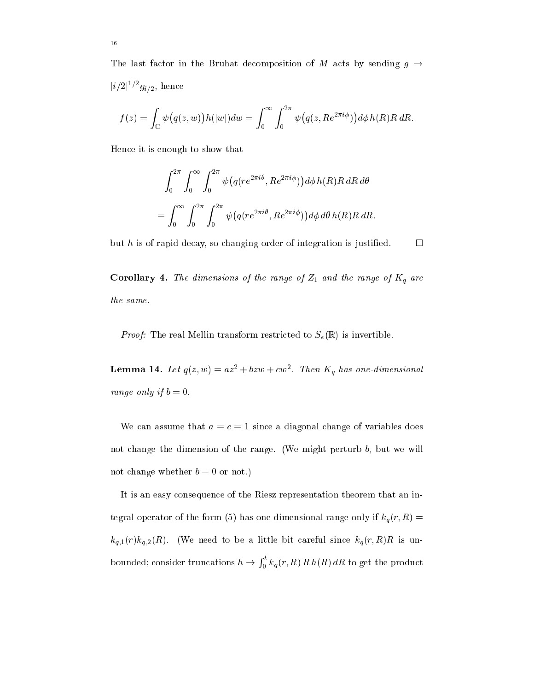The last factor in the Bruhat decomposition of M acts by sending  $g \rightarrow$  $|i/2|$  '  $g_{i/2}$ , nence

$$
f(z) = \int_{\mathbb{C}} \psi\big(q(z,w)\big)h(|w|)dw = \int_0^{\infty} \int_0^{2\pi} \psi\big(q(z, Re^{2\pi i\phi})\big) d\phi h(R)R\,dR.
$$

Hen
e it is enough to show that

$$
\int_0^{2\pi} \int_0^{\infty} \int_0^{2\pi} \psi(q(re^{2\pi i\theta}, Re^{2\pi i\phi})) d\phi h(R) R dR d\theta
$$
  
= 
$$
\int_0^{\infty} \int_0^{2\pi} \int_0^{2\pi} \psi(q(re^{2\pi i\theta}, Re^{2\pi i\phi})) d\phi d\theta h(R) R dR,
$$

but h is of rapid decay, so changing order of integration is justified.  $\Box$ 

 $\Gamma$  . The dimensions of the range of  $\Gamma$  and the range of  $\Gamma$  and  $\Gamma$ the same.

*Proof:* The real Mellin transform restricted to  $S_e(\mathbb{R})$  is invertible.

**Lemma 14.** Let  $q(z, w) = az + 6zw + cw$ . Then  $\mathbf{A}_q$  has one-annensional range only if  $b = 0$ .

We can assume that  $a = c = 1$  since a diagonal change of variables does not change the dimension of the range. (We might perturb  $b$ , but we will not change whether  $b = 0$  or not.)

It is an easy onsequen
e of the Riesz representation theorem that an integral operator of the form (5) has one-dimensional range only if  $k_q(r, R)$  =  $k_{q,1}(r)k_{q,2}(R)$ . (We need to be a little bit careful since  $k_q(r, R)R$  is unonsider the considered; and the considered; and the constant of the constant of the constant of the constant of the constant of the constant of the constant of the constant of the constant of the constant of the constant o  $\int_0^t k_q(r,R) \, R \, h(R) \, dR$  to get the product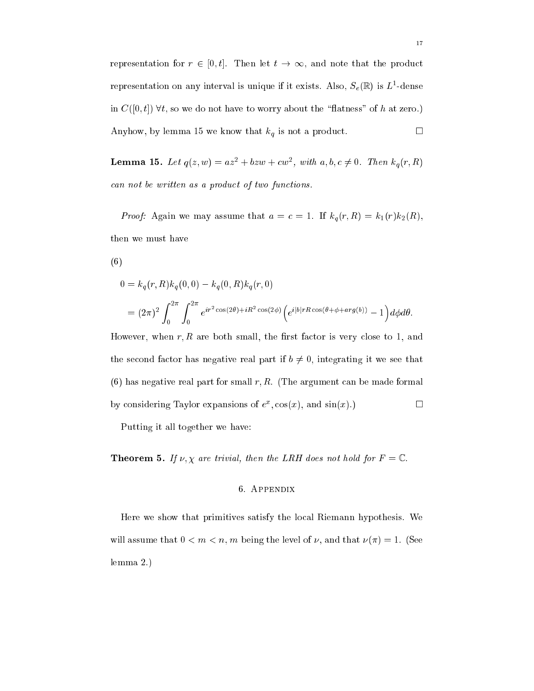representation for  $r \in [0, t]$ . Then let  $t \to \infty$ , and note that the product representation on any interval is unique if it exists. Also,  $S_{\ell}(\mathbb{R})$  is  $L$  -dense in  $C([0, t])$   $\forall t$ , so we do not have to worry about the "flatness" of h at zero.) Anyhow, by lemma 15 we know that  $k_q$  is not a product.

**Lemma 15.** Let  $q(z, w) = az + 6zw + cw$ , with  $a, b, c \neq 0$ . Then  $\kappa_q(r, R)$ can not be written as a product of two functions.

*Proof:* Again we may assume that  $a = c = 1$ . If  $k_q(r, R) = k_1(r)k_2(R)$ , then we must have

(6)

$$
0 = k_q(r, R)k_q(0, 0) - k_q(0, R)k_q(r, 0)
$$
  
=  $(2\pi)^2 \int_0^{2\pi} \int_0^{2\pi} e^{ir^2 \cos(2\theta) + iR^2 \cos(2\phi)} \left(e^{i|b|rR\cos(\theta + \phi + arg(b))} - 1\right) d\phi d\theta.$ 

However, when  $r, R$  are both small, the first factor is very close to 1, and the second factor has negative real part if  $b \neq 0$ , integrating it we see that  $(6)$  has negative real part for small r, R. (The argument can be made formal  $\Box$  overly considering Taylor expansions of e  $\Box$   $\Box$   $\Box$   $\Box$ 

Putting it all together we have:

 $\blacksquare$  . If  $\blacksquare$  . If  $\blacksquare$  the trivial, then the LRH does not the LRH does not the LRH does not the  $\blacksquare$ 

## 6. Appendix

Here we show that primitives satisfy the lo
al Riemann hypothesis. We will assume that  $0 < m < n$ , m being the level of  $\nu$ , and that  $\nu(\pi) = 1$ . (See lemma 2.)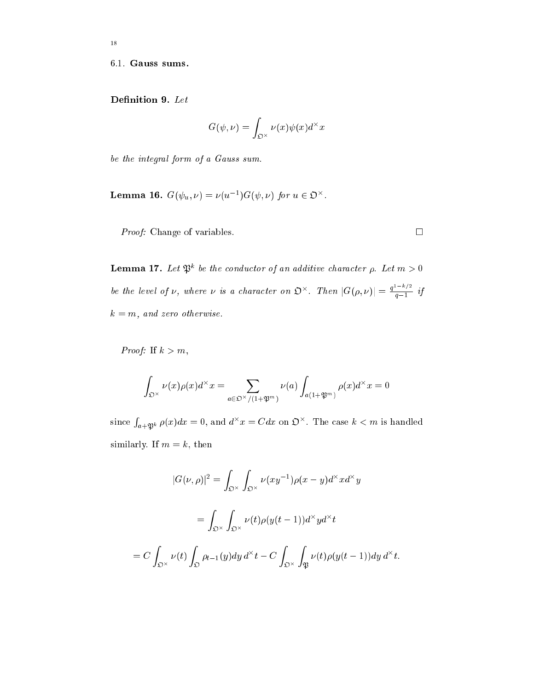<sup>18</sup>

$$
G(\psi,\nu)=\int_{\mathfrak{O}^\times}\nu(x)\psi(x)d^\times x
$$

be the integral form of a Gauss sum.

**Lemma 16.**  $G(\psi_u, \nu) = \nu(u^{-1})G(\psi, \nu)$  for  $u \in \mathcal{D}$ .

*Proof:* Change of variables. □

**Lemma 17.** Let  $\mathcal{P}$  be the conductor of an additive character  $\rho$ . Let  $m > 0$ be the level of v, where v is a character on  $\mathfrak{O}^{\times}$ . Then  $|G(\rho, \nu)| = \frac{q-1}{q-1}$  if  $k = m$ , and zero otherwise.

Proof: If  $k > m$ ,

$$
\int_{\mathfrak{O}^\times} \nu(x)\rho(x)d^\times x = \sum_{a\in\mathfrak{O}^\times/(1+\mathfrak{P}^m)} \nu(a) \int_{a(1+\mathfrak{P}^m)} \rho(x)d^\times x = 0
$$

since  $\int_{a+1}^{b} \rho(x)dx = 0$ , and  $d^x x = C dx$  on  $\mathfrak{O}^\times$ . The case  $k < m$  is handled similarly. If  $m = k$ , then

$$
|G(\nu,\rho)|^2 = \int_{\mathfrak{O}^\times} \int_{\mathfrak{O}^\times} \nu(xy^{-1})\rho(x-y)d^\times xd^\times y
$$
  

$$
= \int_{\mathfrak{O}^\times} \int_{\mathfrak{O}^\times} \nu(t)\rho(y(t-1))d^\times yd^\times t
$$
  

$$
= C \int_{\mathfrak{O}^\times} \nu(t) \int_{\mathfrak{O}} \rho_{t-1}(y)dy d^\times t - C \int_{\mathfrak{O}^\times} \int_{\mathfrak{P}} \nu(t)\rho(y(t-1))dy d^\times t
$$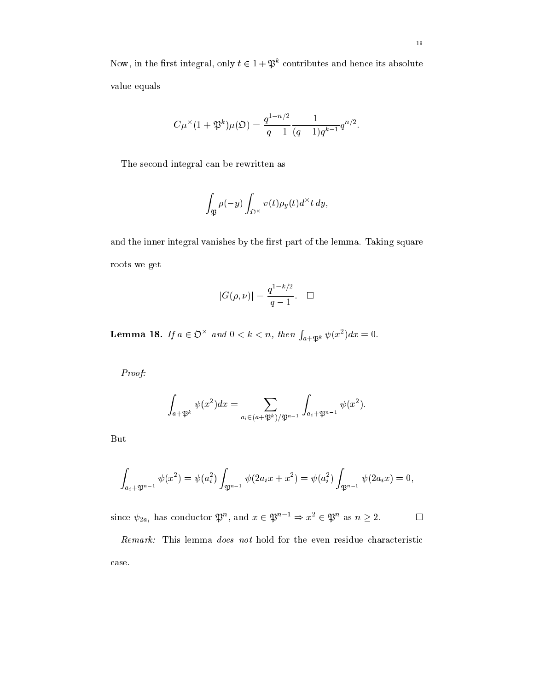Now, in the first integral, only  $t \in 1 + \mathcal{D}$  contributes and hence its absolute value equals

$$
C\mu^{\times}(1+\mathfrak{P}^k)\mu(\mathfrak{O})=\frac{q^{1-n/2}}{q-1}\frac{1}{(q-1)q^{k-1}}q^{n/2}.
$$

The second integral can be rewritten as

$$
\int_{\mathfrak{P}}\rho(-y)\int_{\mathfrak{O}^\times}v(t)\rho_y(t)d^\times t\,dy,
$$

and the inner integral vanishes by the first part of the lemma. Taking square roots we get

$$
|G(\rho, \nu)| = \frac{q^{1-k/2}}{q-1}.\quad \Box
$$

**Lemma 18.** If  $a \in \mathfrak{O}^\times$  and  $0 < k < n$ , then  $\int_{a+\mathfrak{B}^k} \psi(x^2) dx = 0$ .

Proof:

$$
\int_{a+\mathfrak{P}^k}\psi(x^2)dx=\sum_{a_i\in (a+\mathfrak{P}^k)/\mathfrak{P}^{n-1}}\int_{a_i+\mathfrak{P}^{n-1}}\psi(x^2).
$$

But

$$
\int_{a_i+\mathfrak{P}^{n-1}} \psi(x^2) = \psi(a_i^2) \int_{\mathfrak{P}^{n-1}} \psi(2a_i x + x^2) = \psi(a_i^2) \int_{\mathfrak{P}^{n-1}} \psi(2a_i x) = 0,
$$

since  $\psi_{2a_i}$  has conductor  $\psi^{\alpha}$ , and  $x \in \psi^{\alpha-1} \Rightarrow x^2 \in \psi^{\alpha}$  as  $n \geq 2$ .

Remark: This lemma does not hold for the even residue characteristic ase.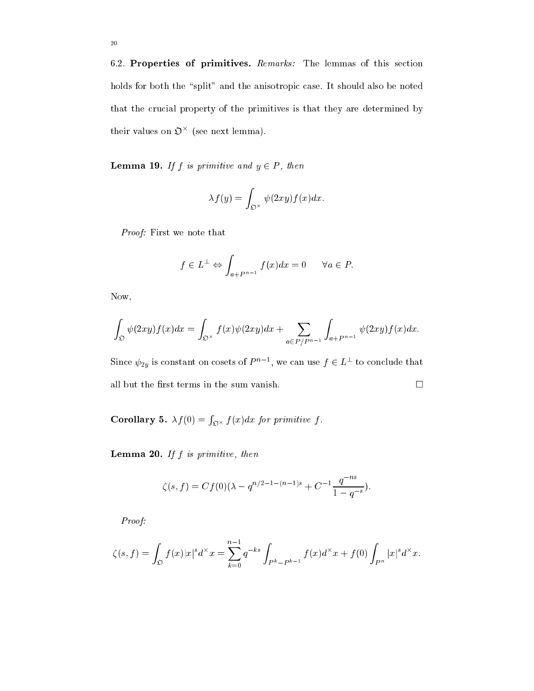6.2. Properties of primitives. Remarks: The lemmas of this section holds for both the "split" and the anisotropic case. It should also be noted that the crucial property of the primitives is that they are determined by their values on  $\mathcal{D}$  (see next lemma).

Lemma 19. If f is primitive and y <sup>2</sup> P , then

$$
\lambda f(y) = \int_{\mathfrak{O}^\times} \psi(2xy) f(x) dx.
$$

Proof: First we note that

$$
f \in L^{\perp} \Leftrightarrow \int_{a+P^{n-1}} f(x)dx = 0 \quad \forall a \in P.
$$

Now,

$$
\int_{\mathfrak{O}} \psi(2xy)f(x)dx = \int_{\mathfrak{O}^\times} f(x)\psi(2xy)dx + \sum_{a \in P/P^{n-1}} \int_{a+P^{n-1}} \psi(2xy)f(x)dx.
$$

Since  $\psi_{2y}$  is constant on cosets of P<sup>arra</sup>, we can use  $f \in L^-$  to conclude that all but the first terms in the sum vanish.  $\Box$ 

 $\sim$  5. f  $\sim$  6. f  $\sim$  6. f  $\sim$  6. f  $\sim$  6. f  $\sim$  6. f  $\sim$  6. f  $\sim$  6. f  $\sim$  6. f  $\sim$  6. f  $\sim$  6. f  $\sim$  6. f  $\sim$  6. f  $\sim$  6. f  $\sim$  6. f  $\sim$  6. f  $\sim$  6. f  $\sim$  6. f  $\sim$  6. f  $\sim$  6. f  $\sim$  6. f  $\sim$  6. f <sup>R</sup>  $\mathcal{L}$  (a)  $\mathcal{L}$  for  $\mathcal{L}$  for  $\mathcal{L}$  . The set of  $\mathcal{L}$  is the set of  $\mathcal{L}$ 

Lemma 20. If f is primitive, then

$$
\zeta(s,f) = Cf(0)(\lambda - q^{n/2 - 1 - (n-1)s} + C^{-1} \frac{q^{-ns}}{1 - q^{-s}}).
$$

Proof:

$$
\zeta(s,f) = \int_{\mathfrak{O}} f(x)|x|^s d^{\times} x = \sum_{k=0}^{n-1} q^{-ks} \int_{P^k - P^{k-1}} f(x) d^{\times} x + f(0) \int_{P^n} |x|^s d^{\times} x.
$$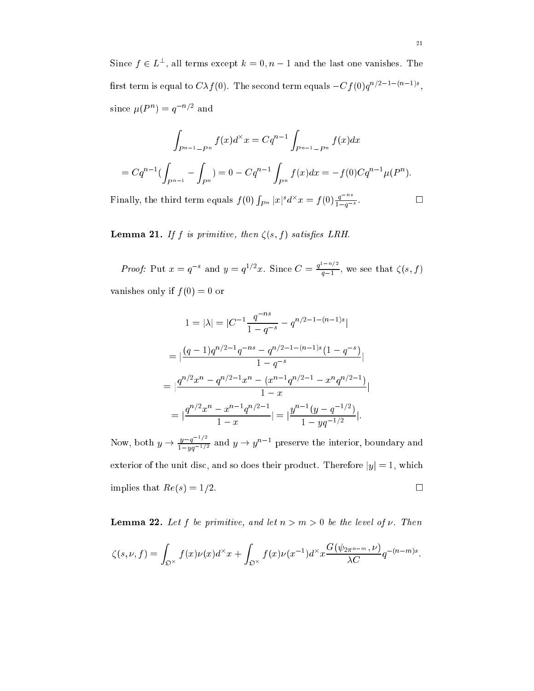Since  $f \in L$ , all terms except  $\kappa = 0, n - 1$  and the last one vanishes. The The second term is equal to  $CA/(0)$ . The second term equals  $-C/(0)q$ since  $\mu(F^-) = q^- =$  and

$$
\int_{P^{n-1}-P^n} f(x)d^{\times} x = Cq^{n-1} \int_{P^{n-1}-P^n} f(x)dx
$$
  
=  $Cq^{n-1} (\int_{P^{n-1}} - \int_{P^n}) = 0 - Cq^{n-1} \int_{P^n} f(x)dx = -f(0)Cq^{n-1} \mu(P^n).$ 

Finally, the third term equals  $f(0) \int_{P^n} |x|^s d^{\times} x = f(0) \frac{q^{-ns}}{1-q^{-s}}.$ 

Lemma 21. If f is primitive, then (s; f ) satises LRH.

*Proof:* Put  $x = q^{-s}$  and  $y = q^{1/2}x$ . Since  $C = \frac{q^{1/2}q^{1/2}}{q-1}$ , we see that  $\zeta(s, f)$ vanishes only if  $f(0) = 0$  or

$$
1 = |\lambda| = |C^{-1} \frac{q^{-ns}}{1 - q^{-s}} - q^{n/2 - 1 - (n-1)s}|
$$
  
= 
$$
\left| \frac{(q-1)q^{n/2 - 1}q^{-ns} - q^{n/2 - 1 - (n-1)s}(1 - q^{-s})}{1 - q^{-s}} \right|
$$
  
= 
$$
\left| \frac{q^{n/2}x^n - q^{n/2 - 1}x^n - (x^{n-1}q^{n/2 - 1} - x^n q^{n/2 - 1})}{1 - x} \right|
$$
  
= 
$$
\left| \frac{q^{n/2}x^n - x^{n-1}q^{n/2 - 1}}{1 - x} \right| = \left| \frac{y^{n-1}(y - q^{-1/2})}{1 - yq^{-1/2}} \right|.
$$

Now, both  $y \to \frac{y-q^{-2}}{1-ya^{-1/2}}$  and  $y \to y^{n-1}$  preserve the interior, boundary and exterior of the unit disc, and so does their product. Therefore  $|y|=1$ , which implies that  $Re(s) = 1/2$ .

Lemma 22. Let f be primitive, and let n > m > 0 be the level of . Then

$$
\zeta(s,\nu,f) = \int_{\mathfrak{O}^\times} f(x)\nu(x)d^\times x + \int_{\mathfrak{O}^\times} f(x)\nu(x^{-1})d^\times x \frac{G(\psi_{2\pi^{n-m}},\nu)}{\lambda C}q^{-(n-m)s}.
$$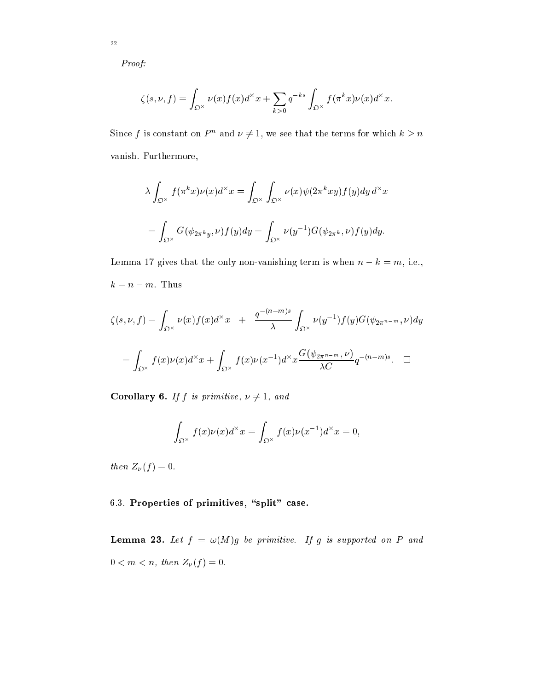Proof:

$$
\zeta(s,\nu,f)=\int_{\mathfrak{O}^\times}\nu(x)f(x)d^\times x+\sum_{k>0}q^{-ks}\int_{\mathfrak{O}^\times}f(\pi^k x)\nu(x)d^\times x.
$$

Since f is constant on P and  $\nu \neq 1$ , we see that the terms for which  $\kappa > n$ vanish. Furthermore,

$$
\lambda \int_{\mathfrak{O}^{\times}} f(\pi^k x) \nu(x) d^{\times} x = \int_{\mathfrak{O}^{\times}} \int_{\mathfrak{O}^{\times}} \nu(x) \psi(2\pi^k xy) f(y) dy d^{\times} x
$$
  
= 
$$
\int_{\mathfrak{O}^{\times}} G(\psi_{2\pi^k y}, \nu) f(y) dy = \int_{\mathfrak{O}^{\times}} \nu(y^{-1}) G(\psi_{2\pi^k}, \nu) f(y) dy.
$$

Lemma 17 gives that the only non-vanishing term is when  $n - k = m$ , i.e.,  $k = n - m$ . Thus

$$
\zeta(s,\nu,f) = \int_{\mathfrak{O}^{\times}} \nu(x)f(x)d^{\times}x + \frac{q^{-(n-m)s}}{\lambda} \int_{\mathfrak{O}^{\times}} \nu(y^{-1})f(y)G(\psi_{2\pi^{n-m}},\nu)dy
$$

$$
= \int_{\mathfrak{O}^{\times}} f(x)\nu(x)d^{\times}x + \int_{\mathfrak{O}^{\times}} f(x)\nu(x^{-1})d^{\times}x \frac{G(\psi_{2\pi^{n-m}},\nu)}{\lambda C}q^{-(n-m)s}. \quad \Box
$$

corollary formula resources, the primitive of the set of the set of the set of the set of the set of the set of

$$
\int_{\mathfrak{O}^\times} f(x) \nu(x) d^\times x = \int_{\mathfrak{O}^\times} f(x) \nu(x^{-1}) d^\times x = 0,
$$

then  $Z_{\nu}(f) = 0$ .

6.3. Properties of primitives, "split" case.

 $-$  -------  $-$  . If  $\alpha$  is primitive. If g is supported on P and  $0 < m < n$ , then  $Z_{\nu}(f) = 0$ .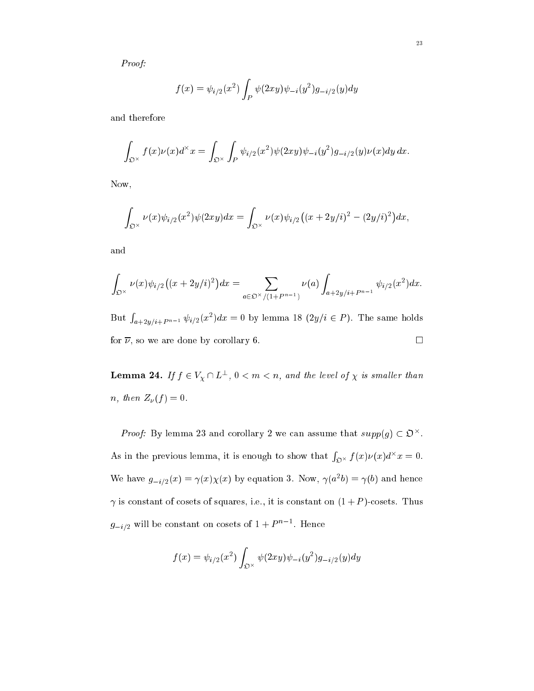Proof:

$$
f(x) = \psi_{i/2}(x^2) \int_P \psi(2xy) \psi_{-i}(y^2) g_{-i/2}(y) dy
$$

and therefore

$$
\int_{\mathfrak{O}^\times} f(x)\nu(x)d^\times x = \int_{\mathfrak{O}^\times} \int_P \psi_{i/2}(x^2)\psi(2xy)\psi_{-i}(y^2)g_{-i/2}(y)\nu(x)dy\,dx.
$$

Now,

$$
\int_{\mathfrak{O}^{\times}} \nu(x) \psi_{i/2}(x^2) \psi(2xy) dx = \int_{\mathfrak{O}^{\times}} \nu(x) \psi_{i/2} \big( (x+2y/i)^2 - (2y/i)^2 \big) dx,
$$

and

$$
\int_{\mathfrak{O}^{\times}} \nu(x)\psi_{i/2}\big((x+2y/i)^2\big)dx = \sum_{a \in \mathfrak{O}^{\times}/(1+P^{n-1})} \nu(a) \int_{a+2y/i+P^{n-1}} \psi_{i/2}(x^2)dx.
$$

But  $\int_{a+2y/i+P^{n-1}} \psi_{i/2}(x^2) dx = 0$  by lemma 18  $(2y/i \in P)$ . The same holds for  $\overline{\nu}$ , so we are done by corollary 6.

**Lemma 24.** If  $f \in V_Y \sqcup L^-, 0 \leq m \leq n$ , and the level of  $\chi$  is smaller than n, then  $Z_{\nu}(f) = 0$ .

*Proof:* By lemma 25 and corollary 2 we can assume that  $supp(q) \subset \mathcal{D}$ . As in the previous lemma, it is enough to show that  $\int_{\Omega^\times} f(x) \nu(x) d^\times x = 0$ . we have  $g_{-i/2}(x) = \gamma(x)\chi(x)$  by equation 3. Now,  $\gamma(a\,b) = \gamma(b)$  and hence  $\gamma$  is constant of cosets of squares, i.e., it is constant on  $(1+P)$ -cosets. Thus  $g_{-i/2}$  will be constant on cosets of  $1 + P$  and  $n$  hence

$$
f(x) = \psi_{i/2}(x^2) \int_{\mathfrak{O}^\times} \psi(2xy) \psi_{-i}(y^2) g_{-i/2}(y) dy
$$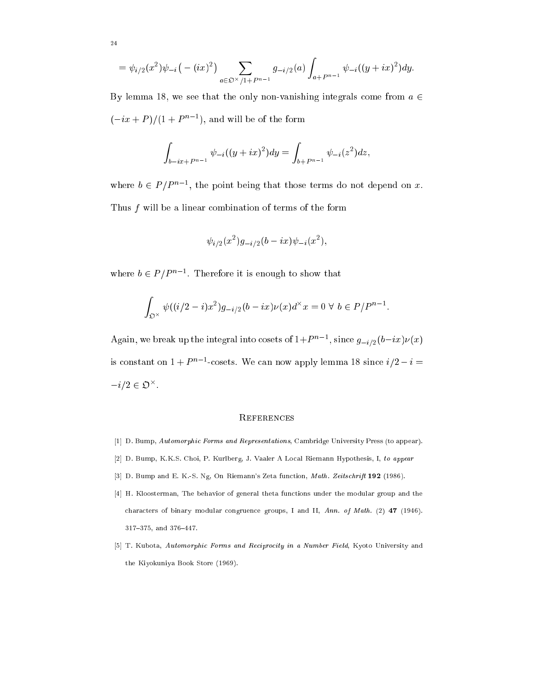$$
= \psi_{i/2}(x^2)\psi_{-i}(-(ix)^2)\sum_{a\in\mathfrak{O}^{\times}/1+P^{n-1}}g_{-i/2}(a)\int_{a+P^{n-1}}\psi_{-i}((y+ix)^2)dy.
$$

By lemma 18, we see that the only non-vanishing integrals come from  $a \in$  $(-ix + P)/(1 + P^{\alpha-1})$ , and will be of the form

$$
\int_{b-ix+P^{n-1}} \psi_{-i}((y+ix)^2) dy = \int_{b+P^{n-1}} \psi_{-i}(z^2) dz,
$$

where  $v \in P/P$   $\rightarrow$ , the point being that those terms do not depend on x. Thus  $f$  will be a linear combination of terms of the form

$$
\psi_{i/2}(x^2)g_{-i/2}(b-ix)\psi_{-i}(x^2),
$$

where  $b \in P/P$  . Therefore it is enough to show that

$$
\int_{\mathfrak{O}^\times} \psi((i/2-i)x^2)g_{-i/2}(b-ix)\nu(x)d^\times x = 0 \,\forall\, b \in P/P^{n-1}
$$

Again, we break up the integral lift cosets of  $1+r$  n as since  $g_{-i/2}(v-ix)\nu(x)$ is constant on  $1 + P$   $\degree$  -cosets. We can now apply lemma 18 since  $i/2 - i =$  $-i/2 \in \mathcal{D}$ .

#### **REFERENCES**

- [1] D. Bump, Automorphic Forms and Representations, Cambridge University Press (to appear).
- [2] D. Bump, K.K.S. Choi, P. Kurlberg, J. Vaaler A Local Riemann Hypothesis, I, to appear
- [3] D. Bump and E. K.-S. Ng, On Riemann's Zeta function, *Math. Zeitschrift* 192 (1986).
- [4] H. Kloosterman, The behavior of general theta functions under the modular group and the characters of binary modular congruence groups, I and II, Ann. of Math. (2) 47 (1946).  $317–375$ , and  $376–447$ .
- [5] T. Kubota, Automorphic Forms and Reciprocity in a Number Field, Kyoto University and the Kiyokuniya Book Store (1969).